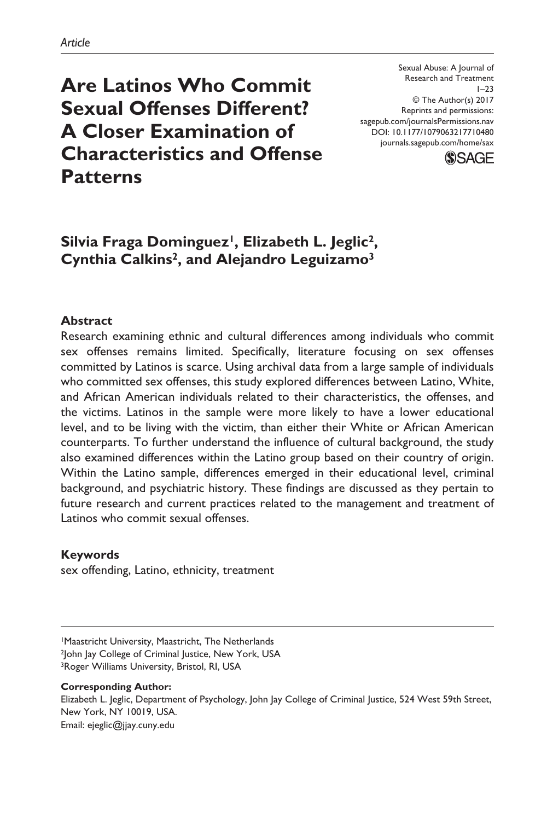# **Are Latinos Who Commit Sexual Offenses Different? A Closer Examination of Characteristics and Offense Patterns**

DOI: 10.1177/1079063217710480 Sexual Abuse: A Journal of Research and Treatment  $1 - 23$ © The Author(s) 2017 Reprints and permissions: [sagepub.com/journalsPermissions.nav](https://us.sagepub.com/en-us/journals-permissions) [journals.sagepub.com/home/sax](https://journals.sagepub.com/home/sax)



# Silvia Fraga Dominguez<sup>1</sup>, Elizabeth L. Jeglic<sup>2</sup>, **Cynthia Calkins2, and Alejandro Leguizamo3**

#### **Abstract**

Research examining ethnic and cultural differences among individuals who commit sex offenses remains limited. Specifically, literature focusing on sex offenses committed by Latinos is scarce. Using archival data from a large sample of individuals who committed sex offenses, this study explored differences between Latino, White, and African American individuals related to their characteristics, the offenses, and the victims. Latinos in the sample were more likely to have a lower educational level, and to be living with the victim, than either their White or African American counterparts. To further understand the influence of cultural background, the study also examined differences within the Latino group based on their country of origin. Within the Latino sample, differences emerged in their educational level, criminal background, and psychiatric history. These findings are discussed as they pertain to future research and current practices related to the management and treatment of Latinos who commit sexual offenses.

#### **Keywords**

sex offending, Latino, ethnicity, treatment

1Maastricht University, Maastricht, The Netherlands <sup>2</sup>John Jay College of Criminal Justice, New York, USA 3Roger Williams University, Bristol, RI, USA

#### **Corresponding Author:**

Elizabeth L. Jeglic, Department of Psychology, John Jay College of Criminal Justice, 524 West 59th Street, New York, NY 10019, USA. Email: [ejeglic@jjay.cuny.edu](mailto:ejeglic@jjay.cuny.edu)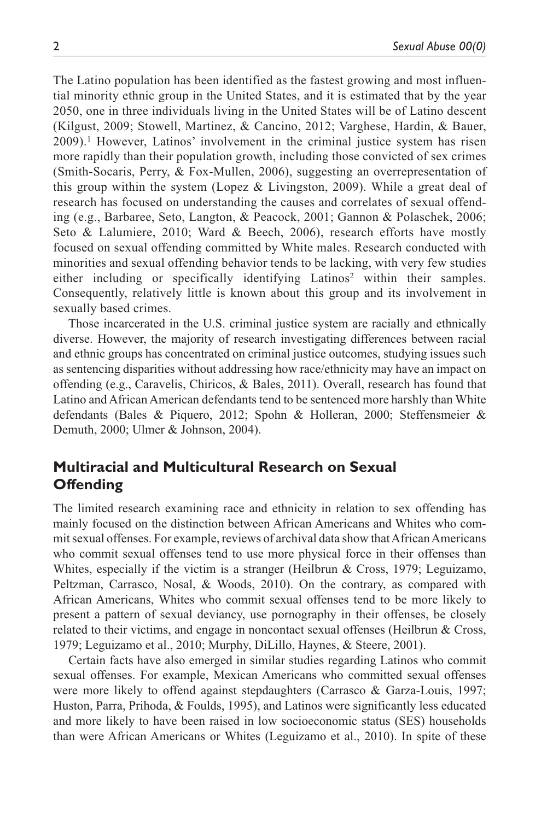The Latino population has been identified as the fastest growing and most influential minority ethnic group in the United States, and it is estimated that by the year 2050, one in three individuals living in the United States will be of Latino descent (Kilgust, 2009; Stowell, Martinez, & Cancino, 2012; Varghese, Hardin, & Bauer, 2009).1 However, Latinos' involvement in the criminal justice system has risen more rapidly than their population growth, including those convicted of sex crimes (Smith-Socaris, Perry, & Fox-Mullen, 2006), suggesting an overrepresentation of this group within the system (Lopez & Livingston, 2009). While a great deal of research has focused on understanding the causes and correlates of sexual offending (e.g., Barbaree, Seto, Langton, & Peacock, 2001; Gannon & Polaschek, 2006; Seto & Lalumiere, 2010; Ward & Beech, 2006), research efforts have mostly focused on sexual offending committed by White males. Research conducted with minorities and sexual offending behavior tends to be lacking, with very few studies either including or specifically identifying Latinos<sup>2</sup> within their samples. Consequently, relatively little is known about this group and its involvement in sexually based crimes.

Those incarcerated in the U.S. criminal justice system are racially and ethnically diverse. However, the majority of research investigating differences between racial and ethnic groups has concentrated on criminal justice outcomes, studying issues such as sentencing disparities without addressing how race/ethnicity may have an impact on offending (e.g., Caravelis, Chiricos, & Bales, 2011). Overall, research has found that Latino and African American defendants tend to be sentenced more harshly than White defendants (Bales & Piquero, 2012; Spohn & Holleran, 2000; Steffensmeier & Demuth, 2000; Ulmer & Johnson, 2004).

# **Multiracial and Multicultural Research on Sexual Offending**

The limited research examining race and ethnicity in relation to sex offending has mainly focused on the distinction between African Americans and Whites who commit sexual offenses. For example, reviews of archival data show that African Americans who commit sexual offenses tend to use more physical force in their offenses than Whites, especially if the victim is a stranger (Heilbrun & Cross, 1979; Leguizamo, Peltzman, Carrasco, Nosal, & Woods, 2010). On the contrary, as compared with African Americans, Whites who commit sexual offenses tend to be more likely to present a pattern of sexual deviancy, use pornography in their offenses, be closely related to their victims, and engage in noncontact sexual offenses (Heilbrun & Cross, 1979; Leguizamo et al., 2010; Murphy, DiLillo, Haynes, & Steere, 2001).

Certain facts have also emerged in similar studies regarding Latinos who commit sexual offenses. For example, Mexican Americans who committed sexual offenses were more likely to offend against stepdaughters (Carrasco & Garza-Louis, 1997; Huston, Parra, Prihoda, & Foulds, 1995), and Latinos were significantly less educated and more likely to have been raised in low socioeconomic status (SES) households than were African Americans or Whites (Leguizamo et al., 2010). In spite of these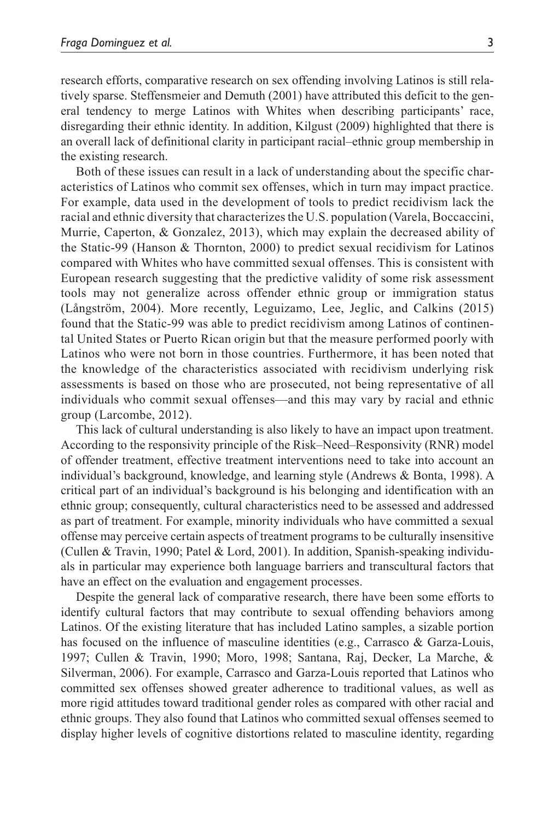research efforts, comparative research on sex offending involving Latinos is still relatively sparse. Steffensmeier and Demuth (2001) have attributed this deficit to the general tendency to merge Latinos with Whites when describing participants' race, disregarding their ethnic identity. In addition, Kilgust (2009) highlighted that there is an overall lack of definitional clarity in participant racial–ethnic group membership in the existing research.

Both of these issues can result in a lack of understanding about the specific characteristics of Latinos who commit sex offenses, which in turn may impact practice. For example, data used in the development of tools to predict recidivism lack the racial and ethnic diversity that characterizes the U.S. population (Varela, Boccaccini, Murrie, Caperton, & Gonzalez, 2013), which may explain the decreased ability of the Static-99 (Hanson & Thornton, 2000) to predict sexual recidivism for Latinos compared with Whites who have committed sexual offenses. This is consistent with European research suggesting that the predictive validity of some risk assessment tools may not generalize across offender ethnic group or immigration status (Långström, 2004). More recently, Leguizamo, Lee, Jeglic, and Calkins (2015) found that the Static-99 was able to predict recidivism among Latinos of continental United States or Puerto Rican origin but that the measure performed poorly with Latinos who were not born in those countries. Furthermore, it has been noted that the knowledge of the characteristics associated with recidivism underlying risk assessments is based on those who are prosecuted, not being representative of all individuals who commit sexual offenses—and this may vary by racial and ethnic group (Larcombe, 2012).

This lack of cultural understanding is also likely to have an impact upon treatment. According to the responsivity principle of the Risk–Need–Responsivity (RNR) model of offender treatment, effective treatment interventions need to take into account an individual's background, knowledge, and learning style (Andrews & Bonta, 1998). A critical part of an individual's background is his belonging and identification with an ethnic group; consequently, cultural characteristics need to be assessed and addressed as part of treatment. For example, minority individuals who have committed a sexual offense may perceive certain aspects of treatment programs to be culturally insensitive (Cullen & Travin, 1990; Patel & Lord, 2001). In addition, Spanish-speaking individuals in particular may experience both language barriers and transcultural factors that have an effect on the evaluation and engagement processes.

Despite the general lack of comparative research, there have been some efforts to identify cultural factors that may contribute to sexual offending behaviors among Latinos. Of the existing literature that has included Latino samples, a sizable portion has focused on the influence of masculine identities (e.g., Carrasco & Garza-Louis, 1997; Cullen & Travin, 1990; Moro, 1998; Santana, Raj, Decker, La Marche, & Silverman, 2006). For example, Carrasco and Garza-Louis reported that Latinos who committed sex offenses showed greater adherence to traditional values, as well as more rigid attitudes toward traditional gender roles as compared with other racial and ethnic groups. They also found that Latinos who committed sexual offenses seemed to display higher levels of cognitive distortions related to masculine identity, regarding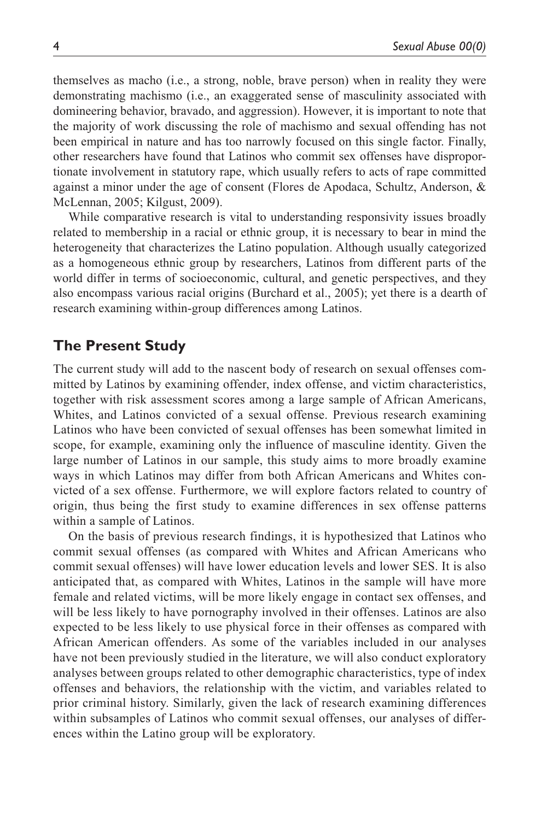themselves as macho (i.e., a strong, noble, brave person) when in reality they were demonstrating machismo (i.e., an exaggerated sense of masculinity associated with domineering behavior, bravado, and aggression). However, it is important to note that the majority of work discussing the role of machismo and sexual offending has not been empirical in nature and has too narrowly focused on this single factor. Finally, other researchers have found that Latinos who commit sex offenses have disproportionate involvement in statutory rape, which usually refers to acts of rape committed against a minor under the age of consent (Flores de Apodaca, Schultz, Anderson, & McLennan, 2005; Kilgust, 2009).

While comparative research is vital to understanding responsivity issues broadly related to membership in a racial or ethnic group, it is necessary to bear in mind the heterogeneity that characterizes the Latino population. Although usually categorized as a homogeneous ethnic group by researchers, Latinos from different parts of the world differ in terms of socioeconomic, cultural, and genetic perspectives, and they also encompass various racial origins (Burchard et al., 2005); yet there is a dearth of research examining within-group differences among Latinos.

# **The Present Study**

The current study will add to the nascent body of research on sexual offenses committed by Latinos by examining offender, index offense, and victim characteristics, together with risk assessment scores among a large sample of African Americans, Whites, and Latinos convicted of a sexual offense. Previous research examining Latinos who have been convicted of sexual offenses has been somewhat limited in scope, for example, examining only the influence of masculine identity. Given the large number of Latinos in our sample, this study aims to more broadly examine ways in which Latinos may differ from both African Americans and Whites convicted of a sex offense. Furthermore, we will explore factors related to country of origin, thus being the first study to examine differences in sex offense patterns within a sample of Latinos.

On the basis of previous research findings, it is hypothesized that Latinos who commit sexual offenses (as compared with Whites and African Americans who commit sexual offenses) will have lower education levels and lower SES. It is also anticipated that, as compared with Whites, Latinos in the sample will have more female and related victims, will be more likely engage in contact sex offenses, and will be less likely to have pornography involved in their offenses. Latinos are also expected to be less likely to use physical force in their offenses as compared with African American offenders. As some of the variables included in our analyses have not been previously studied in the literature, we will also conduct exploratory analyses between groups related to other demographic characteristics, type of index offenses and behaviors, the relationship with the victim, and variables related to prior criminal history. Similarly, given the lack of research examining differences within subsamples of Latinos who commit sexual offenses, our analyses of differences within the Latino group will be exploratory.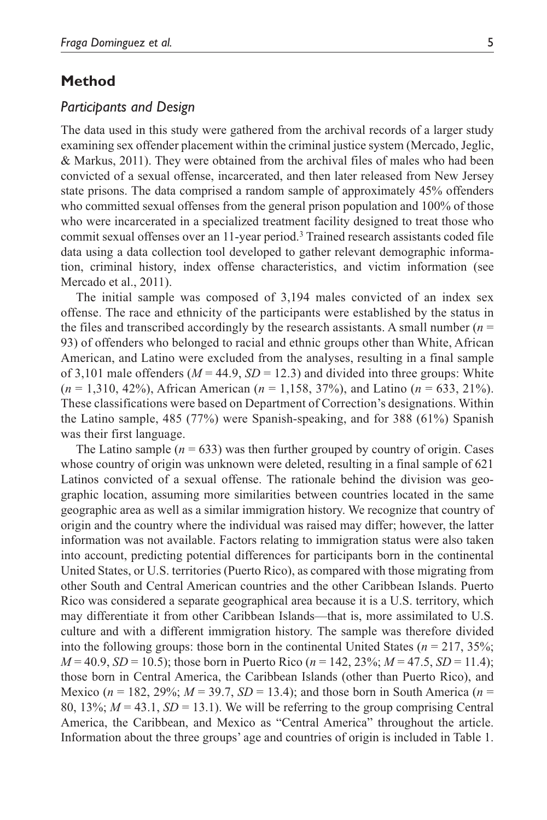#### **Method**

### *Participants and Design*

The data used in this study were gathered from the archival records of a larger study examining sex offender placement within the criminal justice system (Mercado, Jeglic, & Markus, 2011). They were obtained from the archival files of males who had been convicted of a sexual offense, incarcerated, and then later released from New Jersey state prisons. The data comprised a random sample of approximately 45% offenders who committed sexual offenses from the general prison population and 100% of those who were incarcerated in a specialized treatment facility designed to treat those who commit sexual offenses over an 11-year period.3 Trained research assistants coded file data using a data collection tool developed to gather relevant demographic information, criminal history, index offense characteristics, and victim information (see Mercado et al., 2011).

The initial sample was composed of 3,194 males convicted of an index sex offense. The race and ethnicity of the participants were established by the status in the files and transcribed accordingly by the research assistants. A small number ( $n =$ 93) of offenders who belonged to racial and ethnic groups other than White, African American, and Latino were excluded from the analyses, resulting in a final sample of 3,101 male offenders ( $M = 44.9$ ,  $SD = 12.3$ ) and divided into three groups: White (*n* = 1,310, 42%), African American (*n* = 1,158, 37%), and Latino (*n* = 633, 21%). These classifications were based on Department of Correction's designations. Within the Latino sample, 485 (77%) were Spanish-speaking, and for 388 (61%) Spanish was their first language.

The Latino sample  $(n = 633)$  was then further grouped by country of origin. Cases whose country of origin was unknown were deleted, resulting in a final sample of 621 Latinos convicted of a sexual offense. The rationale behind the division was geographic location, assuming more similarities between countries located in the same geographic area as well as a similar immigration history. We recognize that country of origin and the country where the individual was raised may differ; however, the latter information was not available. Factors relating to immigration status were also taken into account, predicting potential differences for participants born in the continental United States, or U.S. territories (Puerto Rico), as compared with those migrating from other South and Central American countries and the other Caribbean Islands. Puerto Rico was considered a separate geographical area because it is a U.S. territory, which may differentiate it from other Caribbean Islands—that is, more assimilated to U.S. culture and with a different immigration history. The sample was therefore divided into the following groups: those born in the continental United States ( $n = 217, 35\%$ ;  $M = 40.9$ ,  $SD = 10.5$ ; those born in Puerto Rico ( $n = 142$ , 23%;  $M = 47.5$ ,  $SD = 11.4$ ); those born in Central America, the Caribbean Islands (other than Puerto Rico), and Mexico ( $n = 182, 29\%$ ;  $M = 39.7, SD = 13.4$ ); and those born in South America ( $n =$ 80, 13%;  $M = 43.1$ ,  $SD = 13.1$ ). We will be referring to the group comprising Central America, the Caribbean, and Mexico as "Central America" throughout the article. Information about the three groups' age and countries of origin is included in Table 1.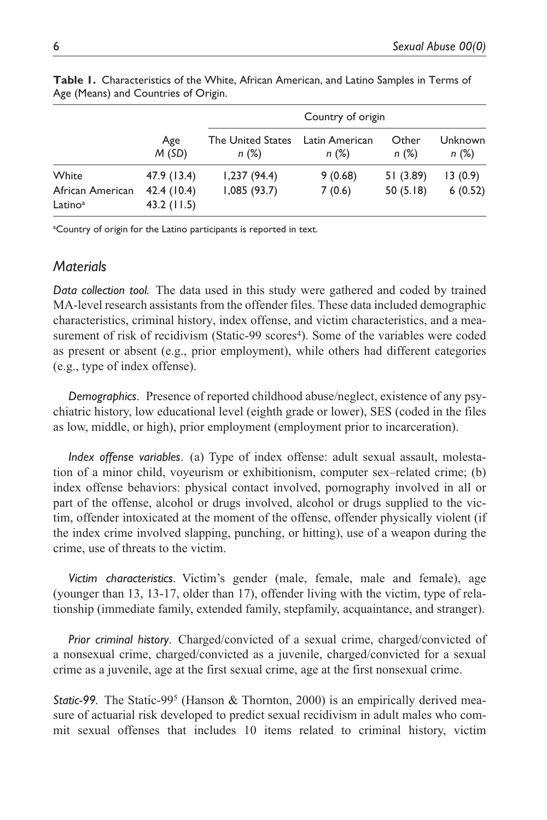|                                         |                             |                           | Country of origin      |               |                 |
|-----------------------------------------|-----------------------------|---------------------------|------------------------|---------------|-----------------|
|                                         | Age<br>M(SD)                | The United States<br>n(%) | Latin American<br>n(%) | Other<br>n(%) | Unknown<br>n(%) |
| White                                   | 47.9 (13.4)                 | 1,237(94.4)               | 9(0.68)                | 51(3.89)      | 13(0.9)         |
| African American<br>Latino <sup>a</sup> | 42.4(10.4)<br>43.2 $(11.5)$ | 1,085(93.7)               | 7(0.6)                 | 50(5.18)      | 6(0.52)         |

**Table 1.** Characteristics of the White, African American, and Latino Samples in Terms of Age (Means) and Countries of Origin.

<sup>a</sup>Country of origin for the Latino participants is reported in text.

## *Materials*

*Data collection tool.* The data used in this study were gathered and coded by trained MA-level research assistants from the offender files. These data included demographic characteristics, criminal history, index offense, and victim characteristics, and a measurement of risk of recidivism (Static-99 scores<sup>4</sup>). Some of the variables were coded as present or absent (e.g., prior employment), while others had different categories (e.g., type of index offense).

*Demographics*. Presence of reported childhood abuse/neglect, existence of any psychiatric history, low educational level (eighth grade or lower), SES (coded in the files as low, middle, or high), prior employment (employment prior to incarceration).

*Index offense variables.* (a) Type of index offense: adult sexual assault, molestation of a minor child, voyeurism or exhibitionism, computer sex–related crime; (b) index offense behaviors: physical contact involved, pornography involved in all or part of the offense, alcohol or drugs involved, alcohol or drugs supplied to the victim, offender intoxicated at the moment of the offense, offender physically violent (if the index crime involved slapping, punching, or hitting), use of a weapon during the crime, use of threats to the victim.

*Victim characteristics*. Victim's gender (male, female, male and female), age (younger than 13, 13-17, older than 17), offender living with the victim, type of relationship (immediate family, extended family, stepfamily, acquaintance, and stranger).

*Prior criminal history*. Charged/convicted of a sexual crime, charged/convicted of a nonsexual crime, charged/convicted as a juvenile, charged/convicted for a sexual crime as a juvenile, age at the first sexual crime, age at the first nonsexual crime.

*Static-99.* The Static-995 (Hanson & Thornton, 2000) is an empirically derived measure of actuarial risk developed to predict sexual recidivism in adult males who commit sexual offenses that includes 10 items related to criminal history, victim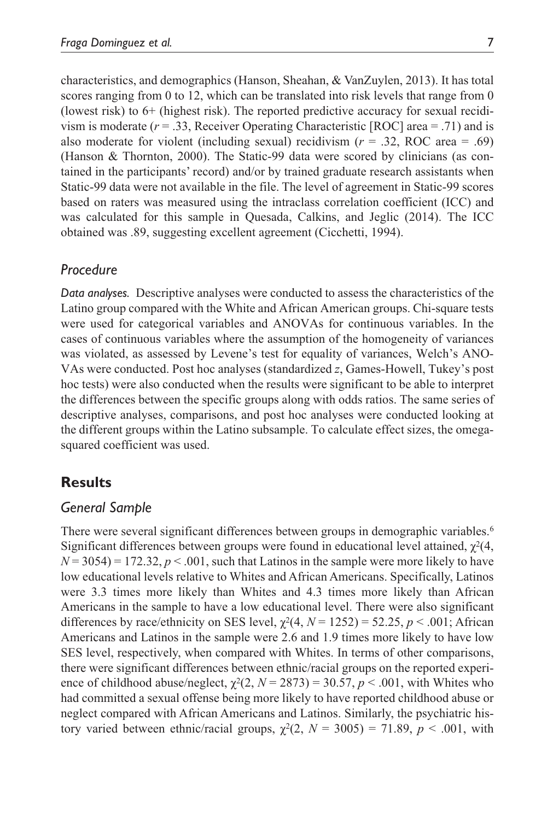characteristics, and demographics (Hanson, Sheahan, & VanZuylen, 2013). It has total scores ranging from 0 to 12, which can be translated into risk levels that range from 0 (lowest risk) to 6+ (highest risk). The reported predictive accuracy for sexual recidivism is moderate  $(r = .33,$  Receiver Operating Characteristic [ROC] area  $= .71$  and is also moderate for violent (including sexual) recidivism  $(r = .32, ROC \text{ area } = .69)$ (Hanson & Thornton, 2000). The Static-99 data were scored by clinicians (as contained in the participants' record) and/or by trained graduate research assistants when Static-99 data were not available in the file. The level of agreement in Static-99 scores based on raters was measured using the intraclass correlation coefficient (ICC) and was calculated for this sample in Quesada, Calkins, and Jeglic (2014). The ICC obtained was .89, suggesting excellent agreement (Cicchetti, 1994).

## *Procedure*

*Data analyses.* Descriptive analyses were conducted to assess the characteristics of the Latino group compared with the White and African American groups. Chi-square tests were used for categorical variables and ANOVAs for continuous variables. In the cases of continuous variables where the assumption of the homogeneity of variances was violated, as assessed by Levene's test for equality of variances, Welch's ANO-VAs were conducted. Post hoc analyses (standardized *z*, Games-Howell, Tukey's post hoc tests) were also conducted when the results were significant to be able to interpret the differences between the specific groups along with odds ratios. The same series of descriptive analyses, comparisons, and post hoc analyses were conducted looking at the different groups within the Latino subsample. To calculate effect sizes, the omegasquared coefficient was used.

# **Results**

# *General Sample*

There were several significant differences between groups in demographic variables.<sup>6</sup> Significant differences between groups were found in educational level attained,  $\chi^2(4)$ ,  $N = 3054$ ) = 172.32,  $p < .001$ , such that Latinos in the sample were more likely to have low educational levels relative to Whites and African Americans. Specifically, Latinos were 3.3 times more likely than Whites and 4.3 times more likely than African Americans in the sample to have a low educational level. There were also significant differences by race/ethnicity on SES level,  $\chi^2(4, N = 1252) = 52.25, p < .001$ ; African Americans and Latinos in the sample were 2.6 and 1.9 times more likely to have low SES level, respectively, when compared with Whites. In terms of other comparisons, there were significant differences between ethnic/racial groups on the reported experience of childhood abuse/neglect,  $\chi^2(2, N = 2873) = 30.57$ ,  $p < .001$ , with Whites who had committed a sexual offense being more likely to have reported childhood abuse or neglect compared with African Americans and Latinos. Similarly, the psychiatric history varied between ethnic/racial groups,  $\chi^2(2, N = 3005) = 71.89$ ,  $p < .001$ , with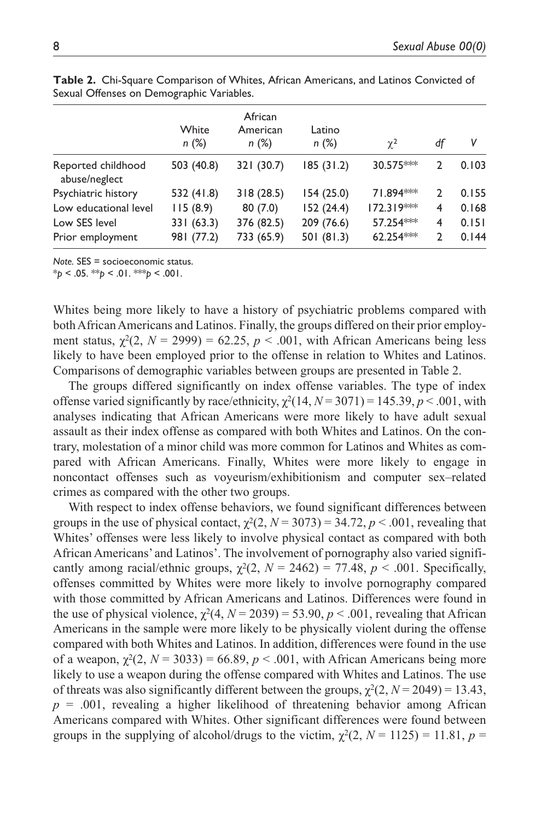|                                     | White<br>n(%) | African<br>American<br>n(%) | Latino<br>n(%) | $\chi^2$   | df             | v     |
|-------------------------------------|---------------|-----------------------------|----------------|------------|----------------|-------|
| Reported childhood<br>abuse/neglect | 503 (40.8)    | 321 (30.7)                  | 185(31.2)      | 30.575***  | າ              | 0.103 |
| Psychiatric history                 | 532 (41.8)    | 318 (28.5)                  | 154(25.0)      | 71.894***  | 2              | 0.155 |
| Low educational level               | 115(8.9)      | 80(7.0)                     | 152(24.4)      | 172.319*** | 4              | 0.168 |
| Low SES level                       | 331(63.3)     | 376 (82.5)                  | 209 (76.6)     | 57.254***  | 4              | 0.151 |
| Prior employment                    | 981 (77.2)    | 733 (65.9)                  | 501(81.3)      | 62.254***  | $\mathfrak{p}$ | 0.144 |

**Table 2.** Chi-Square Comparison of Whites, African Americans, and Latinos Convicted of Sexual Offenses on Demographic Variables.

*Note.* SES = socioeconomic status.

\**p* < .05. \*\**p* < .01. \*\*\**p* < .001.

Whites being more likely to have a history of psychiatric problems compared with both African Americans and Latinos. Finally, the groups differed on their prior employment status,  $\chi^2(2, N = 2999) = 62.25, p < .001$ , with African Americans being less likely to have been employed prior to the offense in relation to Whites and Latinos. Comparisons of demographic variables between groups are presented in Table 2.

The groups differed significantly on index offense variables. The type of index offense varied significantly by race/ethnicity,  $\chi^2(14, N = 3071) = 145.39, p < .001$ , with analyses indicating that African Americans were more likely to have adult sexual assault as their index offense as compared with both Whites and Latinos. On the contrary, molestation of a minor child was more common for Latinos and Whites as compared with African Americans. Finally, Whites were more likely to engage in noncontact offenses such as voyeurism/exhibitionism and computer sex–related crimes as compared with the other two groups.

With respect to index offense behaviors, we found significant differences between groups in the use of physical contact,  $\chi^2(2, N = 3073) = 34.72$ ,  $p < .001$ , revealing that Whites' offenses were less likely to involve physical contact as compared with both African Americans' and Latinos'. The involvement of pornography also varied significantly among racial/ethnic groups,  $\chi^2(2, N = 2462) = 77.48$ ,  $p < .001$ . Specifically, offenses committed by Whites were more likely to involve pornography compared with those committed by African Americans and Latinos. Differences were found in the use of physical violence,  $\chi^2(4, N = 2039) = 53.90, p < .001$ , revealing that African Americans in the sample were more likely to be physically violent during the offense compared with both Whites and Latinos. In addition, differences were found in the use of a weapon,  $\chi^2(2, N = 3033) = 66.89$ ,  $p < .001$ , with African Americans being more likely to use a weapon during the offense compared with Whites and Latinos. The use of threats was also significantly different between the groups,  $\chi^2(2, N = 2049) = 13.43$ ,  $p = .001$ , revealing a higher likelihood of threatening behavior among African Americans compared with Whites. Other significant differences were found between groups in the supplying of alcohol/drugs to the victim,  $\chi^2(2, N = 1125) = 11.81$ ,  $p =$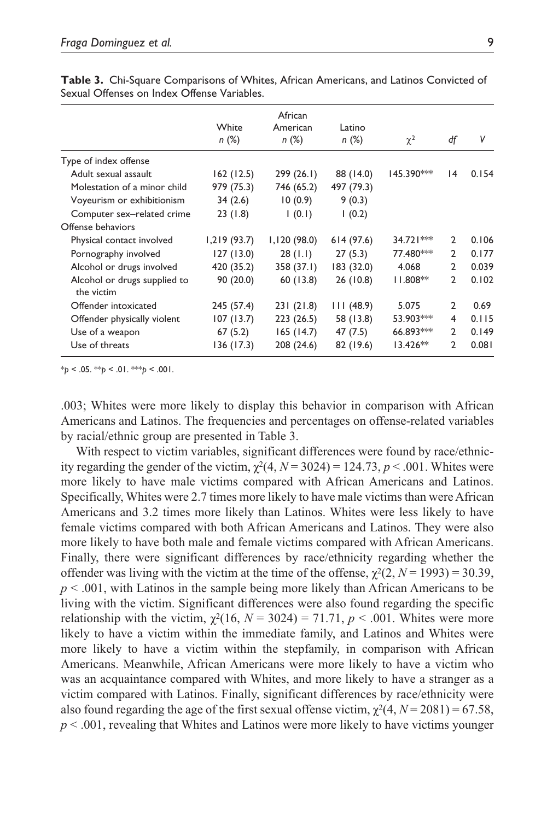|                                            | White<br>n(%) | African<br>American<br>$n$ (%) | Latino<br>$n$ (%) | $\chi^2$    | df             | V     |
|--------------------------------------------|---------------|--------------------------------|-------------------|-------------|----------------|-------|
| Type of index offense                      |               |                                |                   |             |                |       |
| Adult sexual assault                       | 162(12.5)     | 299 (26.1)                     | 88 (14.0)         | 145.390***  | 4              | 0.154 |
| Molestation of a minor child               | 979 (75.3)    | 746 (65.2)                     | 497 (79.3)        |             |                |       |
| Voyeurism or exhibitionism                 | 34(2.6)       | 10(0.9)                        | 9(0.3)            |             |                |       |
| Computer sex-related crime                 | 23(1.8)       | (0.1)                          | (0.2)             |             |                |       |
| Offense behaviors                          |               |                                |                   |             |                |       |
| Physical contact involved                  | 1,219(93.7)   | 1,120(98.0)                    | 614 (97.6)        | 34.721***   | $\mathcal{P}$  | 0.106 |
| Pornography involved                       | 127 (13.0)    | 28(1.1)                        | 27(5.3)           | 77.480***   | $\overline{2}$ | 0.177 |
| Alcohol or drugs involved                  | 420 (35.2)    | 358 (37.1)                     | 183 (32.0)        | 4.068       | 2              | 0.039 |
| Alcohol or drugs supplied to<br>the victim | 90 (20.0)     | 60(13.8)                       | 26 (10.8)         | $11.808**$  | $\overline{2}$ | 0.102 |
| Offender intoxicated                       | 245 (57.4)    | 231(21.8)                      | 111(48.9)         | 5.075       | $\mathcal{P}$  | 0.69  |
| Offender physically violent                | 107(13.7)     | 223(26.5)                      | 58 (13.8)         | 53.903***   | 4              | 0.115 |
| Use of a weapon                            | 67(5.2)       | 165(14.7)                      | 47 (7.5)          | $66.893***$ | $\mathbf{2}$   | 0.149 |
| Use of threats                             | 136 (17.3)    | 208 (24.6)                     | 82 (19.6)         | $13.426**$  | $\overline{2}$ | 0.081 |

**Table 3.** Chi-Square Comparisons of Whites, African Americans, and Latinos Convicted of Sexual Offenses on Index Offense Variables.

\**p* < .05. \*\**p* < .01. \*\*\**p* < .001.

.003; Whites were more likely to display this behavior in comparison with African Americans and Latinos. The frequencies and percentages on offense-related variables by racial/ethnic group are presented in Table 3.

With respect to victim variables, significant differences were found by race/ethnicity regarding the gender of the victim,  $\chi^2(4, N = 3024) = 124.73$ ,  $p < .001$ . Whites were more likely to have male victims compared with African Americans and Latinos. Specifically, Whites were 2.7 times more likely to have male victims than were African Americans and 3.2 times more likely than Latinos. Whites were less likely to have female victims compared with both African Americans and Latinos. They were also more likely to have both male and female victims compared with African Americans. Finally, there were significant differences by race/ethnicity regarding whether the offender was living with the victim at the time of the offense,  $\chi^2(2, N = 1993) = 30.39$ , *p* < .001, with Latinos in the sample being more likely than African Americans to be living with the victim. Significant differences were also found regarding the specific relationship with the victim,  $\chi^2(16, N = 3024) = 71.71$ ,  $p < .001$ . Whites were more likely to have a victim within the immediate family, and Latinos and Whites were more likely to have a victim within the stepfamily, in comparison with African Americans. Meanwhile, African Americans were more likely to have a victim who was an acquaintance compared with Whites, and more likely to have a stranger as a victim compared with Latinos. Finally, significant differences by race/ethnicity were also found regarding the age of the first sexual offense victim,  $\chi^2(4, N = 2081) = 67.58$ , *p* < .001, revealing that Whites and Latinos were more likely to have victims younger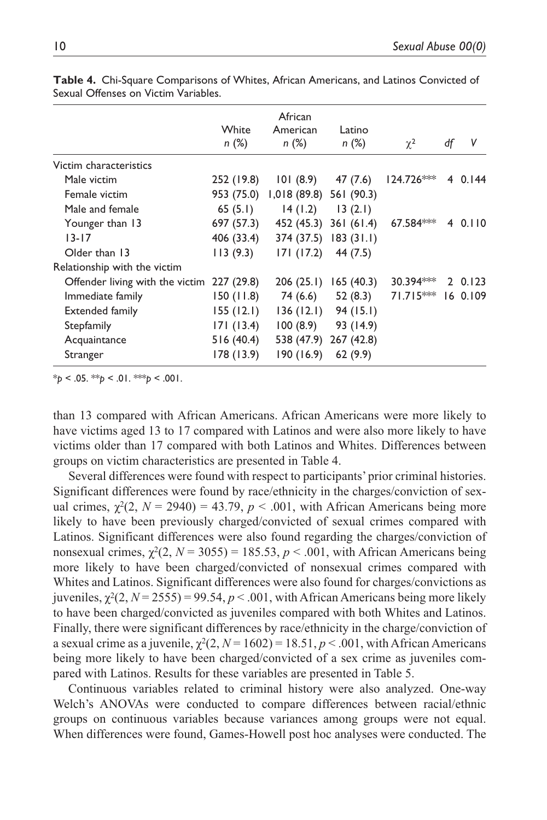|                                 | White<br>$n$ (%) | African<br>American<br>n(%) | Latino<br>n(%) | $\chi^2$     | df | V        |
|---------------------------------|------------------|-----------------------------|----------------|--------------|----|----------|
| Victim characteristics          |                  |                             |                |              |    |          |
| Male victim                     | 252 (19.8)       | 101(8.9)                    | 47 (7.6)       | $124.726***$ | 4  | 0.144    |
| Female victim                   | 953 (75.0)       | 1,018 (89.8)                | 561 (90.3)     |              |    |          |
| Male and female                 | 65 $(5.1)$       | 14(1.2)                     | 13(2.1)        |              |    |          |
| Younger than 13                 | 697 (57.3)       | 452 (45.3)                  | 361(61.4)      | $67.584***$  | 4  | 0.110    |
| $13 - 17$                       | 406 (33.4)       | 374 (37.5)                  | 183(31.1)      |              |    |          |
| Older than 13                   | 113(9.3)         | 171(17.2)                   | 44 (7.5)       |              |    |          |
| Relationship with the victim    |                  |                             |                |              |    |          |
| Offender living with the victim | 227(29.8)        | 206(25.1)                   | 165(40.3)      | 30.394***    |    | 2 0.123  |
| Immediate family                | 150(11.8)        | 74 (6.6)                    | 52(8.3)        | $71.715***$  |    | 16 0.109 |
| <b>Extended family</b>          | 155(12.1)        | 136(12.1)                   | 94(15.1)       |              |    |          |
| Stepfamily                      | 171(13.4)        | 100(8.9)                    | 93 (14.9)      |              |    |          |
| Acquaintance                    | 516 (40.4)       | 538 (47.9)                  | 267(42.8)      |              |    |          |
| Stranger                        | 178 (13.9)       | 190(16.9)                   | 62(9.9)        |              |    |          |

**Table 4.** Chi-Square Comparisons of Whites, African Americans, and Latinos Convicted of Sexual Offenses on Victim Variables.

\**p* < .05. \*\**p* < .01. \*\*\**p* < .001.

than 13 compared with African Americans. African Americans were more likely to have victims aged 13 to 17 compared with Latinos and were also more likely to have victims older than 17 compared with both Latinos and Whites. Differences between groups on victim characteristics are presented in Table 4.

Several differences were found with respect to participants' prior criminal histories. Significant differences were found by race/ethnicity in the charges/conviction of sexual crimes,  $\chi^2(2, N = 2940) = 43.79$ ,  $p < .001$ , with African Americans being more likely to have been previously charged/convicted of sexual crimes compared with Latinos. Significant differences were also found regarding the charges/conviction of nonsexual crimes,  $\chi^2(2, N = 3055) = 185.53$ ,  $p < .001$ , with African Americans being more likely to have been charged/convicted of nonsexual crimes compared with Whites and Latinos. Significant differences were also found for charges/convictions as juveniles,  $\chi^2(2, N = 2555) = 99.54$ ,  $p < .001$ , with African Americans being more likely to have been charged/convicted as juveniles compared with both Whites and Latinos. Finally, there were significant differences by race/ethnicity in the charge/conviction of a sexual crime as a juvenile,  $\chi^2(2, N = 1602) = 18.51, p < .001$ , with African Americans being more likely to have been charged/convicted of a sex crime as juveniles compared with Latinos. Results for these variables are presented in Table 5.

Continuous variables related to criminal history were also analyzed. One-way Welch's ANOVAs were conducted to compare differences between racial/ethnic groups on continuous variables because variances among groups were not equal. When differences were found, Games-Howell post hoc analyses were conducted. The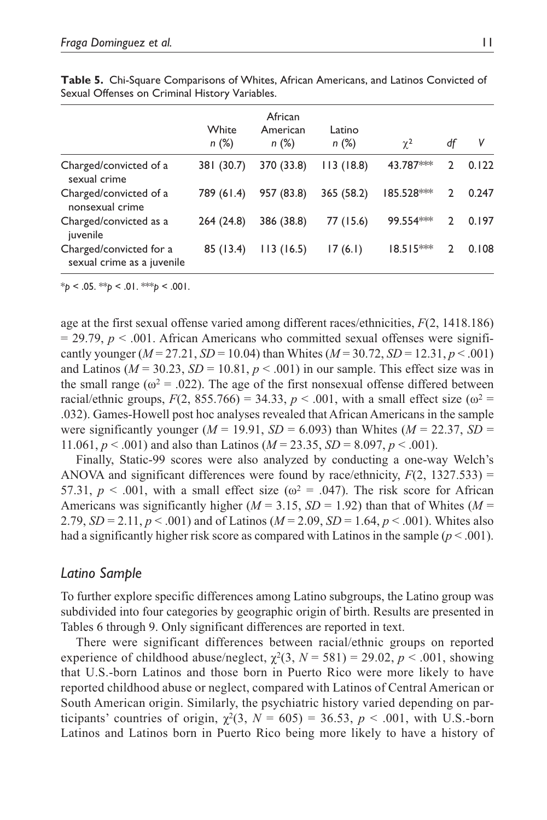|                                                       | White<br>$n$ (%) | African<br>American<br>n(%) | Latino<br>n(%) | $\chi^2$    | df | V     |
|-------------------------------------------------------|------------------|-----------------------------|----------------|-------------|----|-------|
| Charged/convicted of a<br>sexual crime                | 381 (30.7)       | 370 (33.8)                  | 113(18.8)      | 43.787***   |    | 0.122 |
| Charged/convicted of a<br>nonsexual crime             | 789 (61.4)       | 957 (83.8)                  | 365(58.2)      | 185.528***  |    | 0.247 |
| Charged/convicted as a<br>juvenile                    | 264 (24.8)       | 386 (38.8)                  | 77 (15.6)      | 99.554***   |    | 0.197 |
| Charged/convicted for a<br>sexual crime as a juvenile | 85 (13.4)        | 113(16.5)                   | 17(6.1)        | $18.515***$ |    | 0.108 |

**Table 5.** Chi-Square Comparisons of Whites, African Americans, and Latinos Convicted of Sexual Offenses on Criminal History Variables.

\**p* < .05. \*\**p* < .01. \*\*\**p* < .001.

age at the first sexual offense varied among different races/ethnicities, *F*(2, 1418.186)  $= 29.79$ ,  $p < .001$ . African Americans who committed sexual offenses were significantly younger  $(M = 27.21, SD = 10.04)$  than Whites  $(M = 30.72, SD = 12.31, p < .001)$ and Latinos ( $M = 30.23$ ,  $SD = 10.81$ ,  $p < .001$ ) in our sample. This effect size was in the small range ( $\omega^2$  = .022). The age of the first nonsexual offense differed between racial/ethnic groups,  $F(2, 855.766) = 34.33$ ,  $p < .001$ , with a small effect size ( $\omega^2$  = .032). Games-Howell post hoc analyses revealed that African Americans in the sample were significantly younger  $(M = 19.91, SD = 6.093)$  than Whites  $(M = 22.37, SD =$ 11.061,  $p < .001$ ) and also than Latinos ( $M = 23.35$ ,  $SD = 8.097$ ,  $p < .001$ ).

Finally, Static-99 scores were also analyzed by conducting a one-way Welch's ANOVA and significant differences were found by race/ethnicity,  $F(2, 1327.533) =$ 57.31,  $p < .001$ , with a small effect size ( $\omega^2 = .047$ ). The risk score for African Americans was significantly higher ( $M = 3.15$ ,  $SD = 1.92$ ) than that of Whites ( $M =$ 2.79, *SD* = 2.11, *p* < .001) and of Latinos (*M* = 2.09, *SD* = 1.64, *p* < .001). Whites also had a significantly higher risk score as compared with Latinos in the sample  $(p < .001)$ .

#### *Latino Sample*

To further explore specific differences among Latino subgroups, the Latino group was subdivided into four categories by geographic origin of birth. Results are presented in Tables 6 through 9. Only significant differences are reported in text.

There were significant differences between racial/ethnic groups on reported experience of childhood abuse/neglect,  $\chi^2(3, N = 581) = 29.02$ ,  $p < .001$ , showing that U.S.-born Latinos and those born in Puerto Rico were more likely to have reported childhood abuse or neglect, compared with Latinos of Central American or South American origin. Similarly, the psychiatric history varied depending on participants' countries of origin,  $\chi^2(3, N = 605) = 36.53$ ,  $p < .001$ , with U.S.-born Latinos and Latinos born in Puerto Rico being more likely to have a history of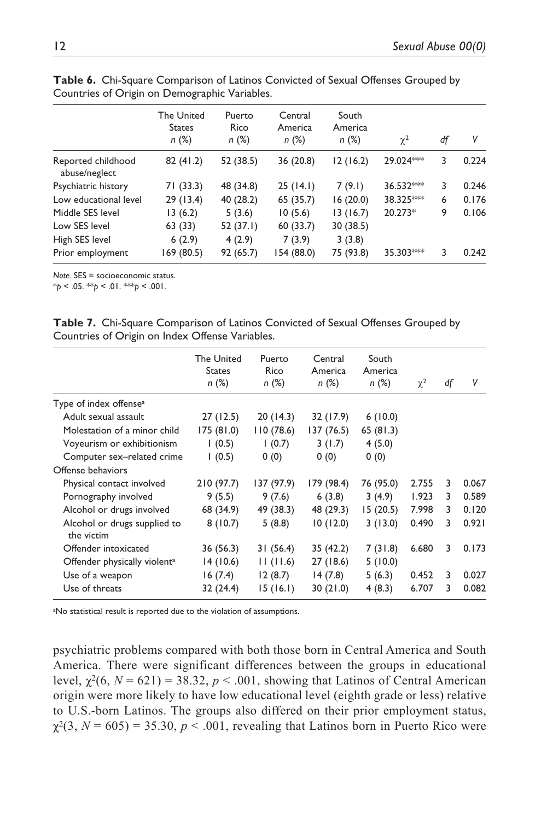|                                     | The United<br><b>States</b><br>$n$ (%) | Puerto<br>Rico<br>$n$ (%) | Central<br>America<br>$n$ (%) | South<br>America<br>n(%) | $\chi^2$  | df | V     |
|-------------------------------------|----------------------------------------|---------------------------|-------------------------------|--------------------------|-----------|----|-------|
| Reported childhood<br>abuse/neglect | 82(41.2)                               | 52 (38.5)                 | 36(20.8)                      | 12 (16.2)                | 29.024*** | 3  | 0.224 |
| Psychiatric history                 | 71 (33.3)                              | 48 (34.8)                 | 25(14.1)                      | 7(9.1)                   | 36.532*** | 3  | 0.246 |
| Low educational level               | 29 (13.4)                              | 40(28.2)                  | 65 (35.7)                     | 16(20.0)                 | 38.325*** | 6  | 0.176 |
| Middle SES level                    | 13(6.2)                                | 5(3.6)                    | 10(5.6)                       | 13 (16.7)                | $20.273*$ | 9  | 0.106 |
| Low SES level                       | 63(33)                                 | 52(37.1)                  | 60 (33.7)                     | 30 (38.5)                |           |    |       |
| High SES level                      | 6(2.9)                                 | 4(2.9)                    | 7(3.9)                        | 3(3.8)                   |           |    |       |
| Prior employment                    | 169 (80.5)                             | 92 (65.7)                 | 154 (88.0)                    | 75 (93.8)                | 35.303*** | 3  | 0.242 |

**Table 6.** Chi-Square Comparison of Latinos Convicted of Sexual Offenses Grouped by Countries of Origin on Demographic Variables.

*Note.* SES = socioeconomic status.

\**p* < .05. \*\**p* < .01. \*\*\**p* < .001.

|  | Table 7. Chi-Square Comparison of Latinos Convicted of Sexual Offenses Grouped by |  |  |  |
|--|-----------------------------------------------------------------------------------|--|--|--|
|  | Countries of Origin on Index Offense Variables.                                   |  |  |  |

|                                            | <b>The United</b><br><b>States</b><br>$n$ (%) | Puerto<br>Rico<br>$n$ (%) | Central<br>America<br>$n$ (%) | South<br>America<br>$n$ (%) | $\chi^2$ | df | V     |
|--------------------------------------------|-----------------------------------------------|---------------------------|-------------------------------|-----------------------------|----------|----|-------|
| Type of index offense <sup>a</sup>         |                                               |                           |                               |                             |          |    |       |
| Adult sexual assault                       | 27 (12.5)                                     | 20(14.3)                  | 32 (17.9)                     | 6(10.0)                     |          |    |       |
| Molestation of a minor child               | 175(81.0)                                     | 110(78.6)                 | 137(76.5)                     | 65(81.3)                    |          |    |       |
| Voyeurism or exhibitionism                 | 1(0.5)                                        | 1(0.7)                    | 3(1.7)                        | 4(5.0)                      |          |    |       |
| Computer sex-related crime                 | 1(0.5)                                        | 0(0)                      | 0(0)                          | 0(0)                        |          |    |       |
| Offense behaviors                          |                                               |                           |                               |                             |          |    |       |
| Physical contact involved                  | 210(97.7)                                     | 137 (97.9)                | 179 (98.4)                    | 76 (95.0)                   | 2.755    | 3  | 0.067 |
| Pornography involved                       | 9(5.5)                                        | 9(7.6)                    | 6(3.8)                        | 3(4.9)                      | 1.923    | 3  | 0.589 |
| Alcohol or drugs involved                  | 68 (34.9)                                     | 49 (38.3)                 | 48 (29.3)                     | 15(20.5)                    | 7.998    | 3  | 0.120 |
| Alcohol or drugs supplied to<br>the victim | 8(10.7)                                       | 5(8.8)                    | 10(12.0)                      | 3(13.0)                     | 0.490    | 3  | 0.921 |
| Offender intoxicated                       | 36 (56.3)                                     | 31(56.4)                  | 35 (42.2)                     | 7(31.8)                     | 6.680    | 3  | 0.173 |
| Offender physically violent <sup>a</sup>   | 14(10.6)                                      | 11(11.6)                  | 27 (18.6)                     | 5(10.0)                     |          |    |       |
| Use of a weapon                            | 16(7.4)                                       | 12(8.7)                   | 14(7.8)                       | 5(6.3)                      | 0.452    | 3  | 0.027 |
| Use of threats                             | 32 (24.4)                                     | 15(16.1)                  | 30 (21.0)                     | 4(8.3)                      | 6.707    | 3  | 0.082 |

<sup>a</sup>No statistical result is reported due to the violation of assumptions.

psychiatric problems compared with both those born in Central America and South America. There were significant differences between the groups in educational level,  $\chi^2(6, N = 621) = 38.32$ ,  $p < .001$ , showing that Latinos of Central American origin were more likely to have low educational level (eighth grade or less) relative to U.S.-born Latinos. The groups also differed on their prior employment status,  $\chi^2(3, N = 605) = 35.30, p < .001$ , revealing that Latinos born in Puerto Rico were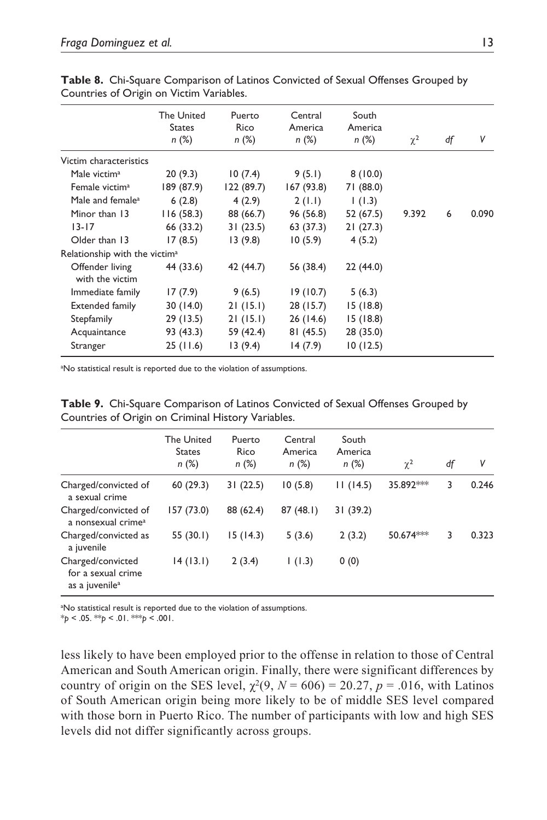|                                           | <b>The United</b><br><b>States</b><br>n(%) | Puerto<br>Rico<br>n (%) | Central<br>America<br>n(%) | South<br>America<br>$n$ (%) | $\chi^2$ | df | V     |
|-------------------------------------------|--------------------------------------------|-------------------------|----------------------------|-----------------------------|----------|----|-------|
| Victim characteristics                    |                                            |                         |                            |                             |          |    |       |
| Male victim <sup>a</sup>                  | 20(9.3)                                    | 10(7.4)                 | 9(5.1)                     | 8(10.0)                     |          |    |       |
| Female victim <sup>a</sup>                | 189 (87.9)                                 | 122 (89.7)              | 167(93.8)                  | 71 (88.0)                   |          |    |       |
| Male and female <sup>a</sup>              | 6(2.8)                                     | 4(2.9)                  | 2(1.1)                     | (1.3)                       |          |    |       |
| Minor than 13                             | 116(58.3)                                  | 88 (66.7)               | 96 (56.8)                  | 52 (67.5)                   | 9.392    | 6  | 0.090 |
| $13 - 17$                                 | 66 (33.2)                                  | 31(23.5)                | 63 (37.3)                  | 21(27.3)                    |          |    |       |
| Older than 13                             | 17(8.5)                                    | 13(9.8)                 | 10(5.9)                    | 4(5.2)                      |          |    |       |
| Relationship with the victim <sup>a</sup> |                                            |                         |                            |                             |          |    |       |
| Offender living<br>with the victim        | 44 (33.6)                                  | 42 (44.7)               | 56 (38.4)                  | 22(44.0)                    |          |    |       |
| Immediate family                          | 17(7.9)                                    | 9(6.5)                  | 19(10.7)                   | 5(6.3)                      |          |    |       |
| Extended family                           | 30 (14.0)                                  | 21(15.1)                | 28 (15.7)                  | 15(18.8)                    |          |    |       |
| Stepfamily                                | 29 (13.5)                                  | 21(15.1)                | 26 (14.6)                  | 15(18.8)                    |          |    |       |
| Acquaintance                              | 93 (43.3)                                  | 59 (42.4)               | 81 (45.5)                  | 28 (35.0)                   |          |    |       |
| Stranger                                  | 25 (11.6)                                  | 13 (9.4)                | 14 (7.9)                   | 10(12.5)                    |          |    |       |
|                                           |                                            |                         |                            |                             |          |    |       |

**Table 8.** Chi-Square Comparison of Latinos Convicted of Sexual Offenses Grouped by Countries of Origin on Victim Variables.

<sup>a</sup>No statistical result is reported due to the violation of assumptions.

**Table 9.** Chi-Square Comparison of Latinos Convicted of Sexual Offenses Grouped by Countries of Origin on Criminal History Variables.

|                                                                       | The United<br><b>States</b><br>$n$ (%) | Puerto<br>Rico<br>$n$ (%) | Central<br>America<br>$n$ (%) | South<br>America<br>n(%) | $\chi^2$  | df | V     |
|-----------------------------------------------------------------------|----------------------------------------|---------------------------|-------------------------------|--------------------------|-----------|----|-------|
| Charged/convicted of<br>a sexual crime                                | 60(29.3)                               | 31(22.5)                  | 10(5.8)                       | 11(14.5)                 | 35.892*** | 3  | 0.246 |
| Charged/convicted of<br>a nonsexual crime <sup>a</sup>                | 157 (73.0)                             | 88 (62.4)                 | 87(48.1)                      | 31(39.2)                 |           |    |       |
| Charged/convicted as<br>a juvenile                                    | 55(30.1)                               | 15(14.3)                  | 5(3.6)                        | 2(3.2)                   | 50.674*** | 3  | 0.323 |
| Charged/convicted<br>for a sexual crime<br>as a juvenile <sup>a</sup> | 14(13.1)                               | 2(3.4)                    | (1.3)                         | 0(0)                     |           |    |       |

<sup>a</sup>No statistical result is reported due to the violation of assumptions.

\**p* < .05. \*\**p* < .01. \*\*\**p* < .001.

less likely to have been employed prior to the offense in relation to those of Central American and South American origin. Finally, there were significant differences by country of origin on the SES level,  $\chi^2(9, N = 606) = 20.27, p = .016$ , with Latinos of South American origin being more likely to be of middle SES level compared with those born in Puerto Rico. The number of participants with low and high SES levels did not differ significantly across groups.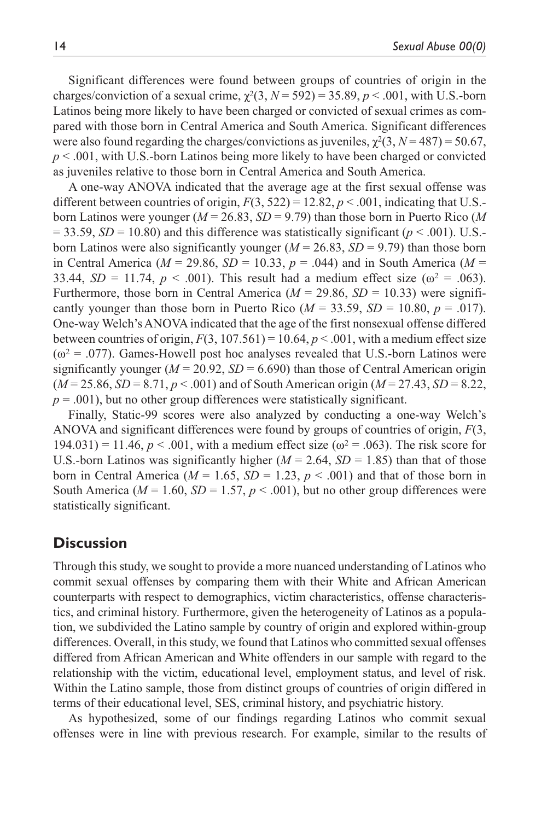Significant differences were found between groups of countries of origin in the charges/conviction of a sexual crime,  $\chi^2(3, N = 592) = 35.89, p < .001$ , with U.S.-born Latinos being more likely to have been charged or convicted of sexual crimes as compared with those born in Central America and South America. Significant differences were also found regarding the charges/convictions as juveniles,  $\chi^2(3, N = 487) = 50.67$ , *p* < .001, with U.S.-born Latinos being more likely to have been charged or convicted as juveniles relative to those born in Central America and South America.

A one-way ANOVA indicated that the average age at the first sexual offense was different between countries of origin,  $F(3, 522) = 12.82$ ,  $p < .001$ , indicating that U.S.born Latinos were younger (*M* = 26.83, *SD* = 9.79) than those born in Puerto Rico (*M*  $=$  33.59, *SD* = 10.80) and this difference was statistically significant ( $p$  < .001). U.S.born Latinos were also significantly younger  $(M = 26.83, SD = 9.79)$  than those born in Central America ( $M = 29.86$ ,  $SD = 10.33$ ,  $p = .044$ ) and in South America ( $M =$ 33.44, *SD* = 11.74,  $p < .001$ ). This result had a medium effect size ( $\omega^2 = .063$ ). Furthermore, those born in Central America ( $M = 29.86$ ,  $SD = 10.33$ ) were significantly younger than those born in Puerto Rico ( $M = 33.59$ ,  $SD = 10.80$ ,  $p = .017$ ). One-way Welch's ANOVA indicated that the age of the first nonsexual offense differed between countries of origin,  $F(3, 107.561) = 10.64$ ,  $p < .001$ , with a medium effect size  $(\omega^2 = .077)$ . Games-Howell post hoc analyses revealed that U.S.-born Latinos were significantly younger  $(M = 20.92, SD = 6.690)$  than those of Central American origin (*M* = 25.86, *SD* = 8.71, *p* < .001) and of South American origin (*M* = 27.43, *SD* = 8.22,  $p = .001$ ), but no other group differences were statistically significant.

Finally, Static-99 scores were also analyzed by conducting a one-way Welch's ANOVA and significant differences were found by groups of countries of origin, *F*(3, 194.031) = 11.46,  $p < .001$ , with a medium effect size ( $\omega^2 = .063$ ). The risk score for U.S.-born Latinos was significantly higher  $(M = 2.64, SD = 1.85)$  than that of those born in Central America ( $M = 1.65$ ,  $SD = 1.23$ ,  $p < .001$ ) and that of those born in South America ( $M = 1.60$ ,  $SD = 1.57$ ,  $p < .001$ ), but no other group differences were statistically significant.

# **Discussion**

Through this study, we sought to provide a more nuanced understanding of Latinos who commit sexual offenses by comparing them with their White and African American counterparts with respect to demographics, victim characteristics, offense characteristics, and criminal history. Furthermore, given the heterogeneity of Latinos as a population, we subdivided the Latino sample by country of origin and explored within-group differences. Overall, in this study, we found that Latinos who committed sexual offenses differed from African American and White offenders in our sample with regard to the relationship with the victim, educational level, employment status, and level of risk. Within the Latino sample, those from distinct groups of countries of origin differed in terms of their educational level, SES, criminal history, and psychiatric history.

As hypothesized, some of our findings regarding Latinos who commit sexual offenses were in line with previous research. For example, similar to the results of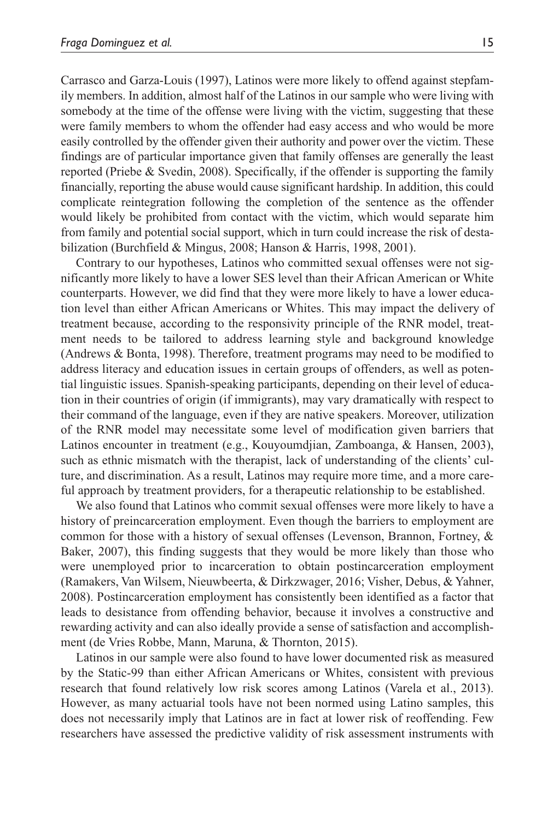Carrasco and Garza-Louis (1997), Latinos were more likely to offend against stepfamily members. In addition, almost half of the Latinos in our sample who were living with somebody at the time of the offense were living with the victim, suggesting that these were family members to whom the offender had easy access and who would be more easily controlled by the offender given their authority and power over the victim. These findings are of particular importance given that family offenses are generally the least reported (Priebe & Svedin, 2008). Specifically, if the offender is supporting the family financially, reporting the abuse would cause significant hardship. In addition, this could complicate reintegration following the completion of the sentence as the offender would likely be prohibited from contact with the victim, which would separate him from family and potential social support, which in turn could increase the risk of destabilization (Burchfield & Mingus, 2008; Hanson & Harris, 1998, 2001).

Contrary to our hypotheses, Latinos who committed sexual offenses were not significantly more likely to have a lower SES level than their African American or White counterparts. However, we did find that they were more likely to have a lower education level than either African Americans or Whites. This may impact the delivery of treatment because, according to the responsivity principle of the RNR model, treatment needs to be tailored to address learning style and background knowledge (Andrews & Bonta, 1998). Therefore, treatment programs may need to be modified to address literacy and education issues in certain groups of offenders, as well as potential linguistic issues. Spanish-speaking participants, depending on their level of education in their countries of origin (if immigrants), may vary dramatically with respect to their command of the language, even if they are native speakers. Moreover, utilization of the RNR model may necessitate some level of modification given barriers that Latinos encounter in treatment (e.g., Kouyoumdjian, Zamboanga, & Hansen, 2003), such as ethnic mismatch with the therapist, lack of understanding of the clients' culture, and discrimination. As a result, Latinos may require more time, and a more careful approach by treatment providers, for a therapeutic relationship to be established.

We also found that Latinos who commit sexual offenses were more likely to have a history of preincarceration employment. Even though the barriers to employment are common for those with a history of sexual offenses (Levenson, Brannon, Fortney, & Baker, 2007), this finding suggests that they would be more likely than those who were unemployed prior to incarceration to obtain postincarceration employment (Ramakers, Van Wilsem, Nieuwbeerta, & Dirkzwager, 2016; Visher, Debus, & Yahner, 2008). Postincarceration employment has consistently been identified as a factor that leads to desistance from offending behavior, because it involves a constructive and rewarding activity and can also ideally provide a sense of satisfaction and accomplishment (de Vries Robbe, Mann, Maruna, & Thornton, 2015).

Latinos in our sample were also found to have lower documented risk as measured by the Static-99 than either African Americans or Whites, consistent with previous research that found relatively low risk scores among Latinos (Varela et al., 2013). However, as many actuarial tools have not been normed using Latino samples, this does not necessarily imply that Latinos are in fact at lower risk of reoffending. Few researchers have assessed the predictive validity of risk assessment instruments with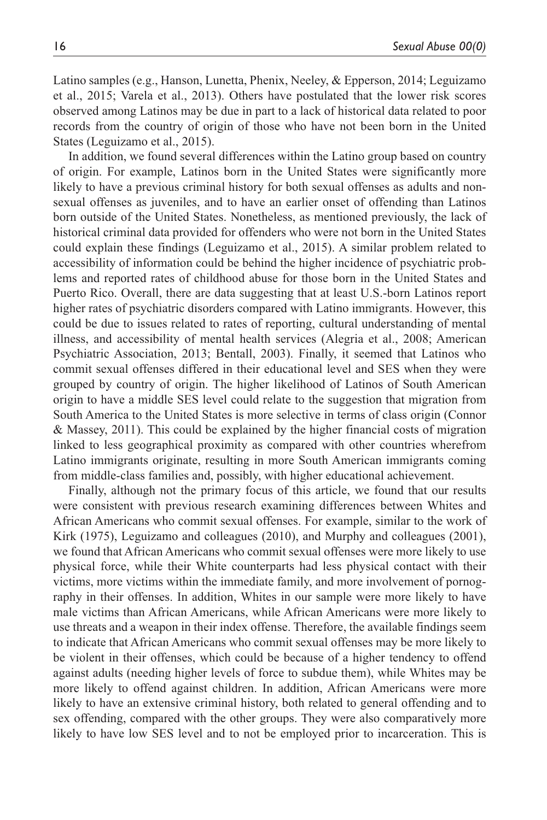Latino samples (e.g., Hanson, Lunetta, Phenix, Neeley, & Epperson, 2014; Leguizamo et al., 2015; Varela et al., 2013). Others have postulated that the lower risk scores observed among Latinos may be due in part to a lack of historical data related to poor records from the country of origin of those who have not been born in the United States (Leguizamo et al., 2015).

In addition, we found several differences within the Latino group based on country of origin. For example, Latinos born in the United States were significantly more likely to have a previous criminal history for both sexual offenses as adults and nonsexual offenses as juveniles, and to have an earlier onset of offending than Latinos born outside of the United States. Nonetheless, as mentioned previously, the lack of historical criminal data provided for offenders who were not born in the United States could explain these findings (Leguizamo et al., 2015). A similar problem related to accessibility of information could be behind the higher incidence of psychiatric problems and reported rates of childhood abuse for those born in the United States and Puerto Rico. Overall, there are data suggesting that at least U.S.-born Latinos report higher rates of psychiatric disorders compared with Latino immigrants. However, this could be due to issues related to rates of reporting, cultural understanding of mental illness, and accessibility of mental health services (Alegria et al., 2008; American Psychiatric Association, 2013; Bentall, 2003). Finally, it seemed that Latinos who commit sexual offenses differed in their educational level and SES when they were grouped by country of origin. The higher likelihood of Latinos of South American origin to have a middle SES level could relate to the suggestion that migration from South America to the United States is more selective in terms of class origin (Connor & Massey, 2011). This could be explained by the higher financial costs of migration linked to less geographical proximity as compared with other countries wherefrom Latino immigrants originate, resulting in more South American immigrants coming from middle-class families and, possibly, with higher educational achievement.

Finally, although not the primary focus of this article, we found that our results were consistent with previous research examining differences between Whites and African Americans who commit sexual offenses. For example, similar to the work of Kirk (1975), Leguizamo and colleagues (2010), and Murphy and colleagues (2001), we found that African Americans who commit sexual offenses were more likely to use physical force, while their White counterparts had less physical contact with their victims, more victims within the immediate family, and more involvement of pornography in their offenses. In addition, Whites in our sample were more likely to have male victims than African Americans, while African Americans were more likely to use threats and a weapon in their index offense. Therefore, the available findings seem to indicate that African Americans who commit sexual offenses may be more likely to be violent in their offenses, which could be because of a higher tendency to offend against adults (needing higher levels of force to subdue them), while Whites may be more likely to offend against children. In addition, African Americans were more likely to have an extensive criminal history, both related to general offending and to sex offending, compared with the other groups. They were also comparatively more likely to have low SES level and to not be employed prior to incarceration. This is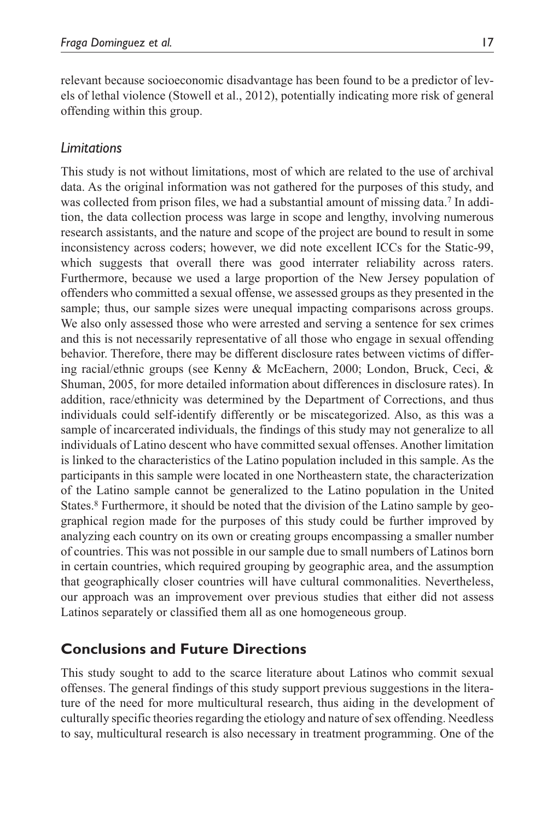relevant because socioeconomic disadvantage has been found to be a predictor of levels of lethal violence (Stowell et al., 2012), potentially indicating more risk of general offending within this group.

## *Limitations*

This study is not without limitations, most of which are related to the use of archival data. As the original information was not gathered for the purposes of this study, and was collected from prison files, we had a substantial amount of missing data.<sup>7</sup> In addition, the data collection process was large in scope and lengthy, involving numerous research assistants, and the nature and scope of the project are bound to result in some inconsistency across coders; however, we did note excellent ICCs for the Static-99, which suggests that overall there was good interrater reliability across raters. Furthermore, because we used a large proportion of the New Jersey population of offenders who committed a sexual offense, we assessed groups as they presented in the sample; thus, our sample sizes were unequal impacting comparisons across groups. We also only assessed those who were arrested and serving a sentence for sex crimes and this is not necessarily representative of all those who engage in sexual offending behavior. Therefore, there may be different disclosure rates between victims of differing racial/ethnic groups (see Kenny & McEachern, 2000; London, Bruck, Ceci, & Shuman, 2005, for more detailed information about differences in disclosure rates). In addition, race/ethnicity was determined by the Department of Corrections, and thus individuals could self-identify differently or be miscategorized. Also, as this was a sample of incarcerated individuals, the findings of this study may not generalize to all individuals of Latino descent who have committed sexual offenses. Another limitation is linked to the characteristics of the Latino population included in this sample. As the participants in this sample were located in one Northeastern state, the characterization of the Latino sample cannot be generalized to the Latino population in the United States.<sup>8</sup> Furthermore, it should be noted that the division of the Latino sample by geographical region made for the purposes of this study could be further improved by analyzing each country on its own or creating groups encompassing a smaller number of countries. This was not possible in our sample due to small numbers of Latinos born in certain countries, which required grouping by geographic area, and the assumption that geographically closer countries will have cultural commonalities. Nevertheless, our approach was an improvement over previous studies that either did not assess Latinos separately or classified them all as one homogeneous group.

# **Conclusions and Future Directions**

This study sought to add to the scarce literature about Latinos who commit sexual offenses. The general findings of this study support previous suggestions in the literature of the need for more multicultural research, thus aiding in the development of culturally specific theories regarding the etiology and nature of sex offending. Needless to say, multicultural research is also necessary in treatment programming. One of the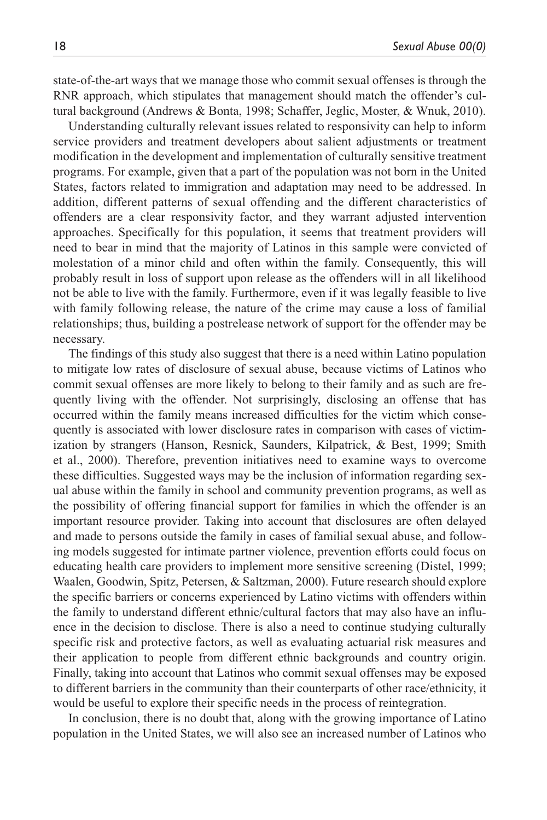state-of-the-art ways that we manage those who commit sexual offenses is through the RNR approach, which stipulates that management should match the offender's cultural background (Andrews & Bonta, 1998; Schaffer, Jeglic, Moster, & Wnuk, 2010).

Understanding culturally relevant issues related to responsivity can help to inform service providers and treatment developers about salient adjustments or treatment modification in the development and implementation of culturally sensitive treatment programs. For example, given that a part of the population was not born in the United States, factors related to immigration and adaptation may need to be addressed. In addition, different patterns of sexual offending and the different characteristics of offenders are a clear responsivity factor, and they warrant adjusted intervention approaches. Specifically for this population, it seems that treatment providers will need to bear in mind that the majority of Latinos in this sample were convicted of molestation of a minor child and often within the family. Consequently, this will probably result in loss of support upon release as the offenders will in all likelihood not be able to live with the family. Furthermore, even if it was legally feasible to live with family following release, the nature of the crime may cause a loss of familial relationships; thus, building a postrelease network of support for the offender may be necessary.

The findings of this study also suggest that there is a need within Latino population to mitigate low rates of disclosure of sexual abuse, because victims of Latinos who commit sexual offenses are more likely to belong to their family and as such are frequently living with the offender. Not surprisingly, disclosing an offense that has occurred within the family means increased difficulties for the victim which consequently is associated with lower disclosure rates in comparison with cases of victimization by strangers (Hanson, Resnick, Saunders, Kilpatrick, & Best, 1999; Smith et al., 2000). Therefore, prevention initiatives need to examine ways to overcome these difficulties. Suggested ways may be the inclusion of information regarding sexual abuse within the family in school and community prevention programs, as well as the possibility of offering financial support for families in which the offender is an important resource provider. Taking into account that disclosures are often delayed and made to persons outside the family in cases of familial sexual abuse, and following models suggested for intimate partner violence, prevention efforts could focus on educating health care providers to implement more sensitive screening (Distel, 1999; Waalen, Goodwin, Spitz, Petersen, & Saltzman, 2000). Future research should explore the specific barriers or concerns experienced by Latino victims with offenders within the family to understand different ethnic/cultural factors that may also have an influence in the decision to disclose. There is also a need to continue studying culturally specific risk and protective factors, as well as evaluating actuarial risk measures and their application to people from different ethnic backgrounds and country origin. Finally, taking into account that Latinos who commit sexual offenses may be exposed to different barriers in the community than their counterparts of other race/ethnicity, it would be useful to explore their specific needs in the process of reintegration.

In conclusion, there is no doubt that, along with the growing importance of Latino population in the United States, we will also see an increased number of Latinos who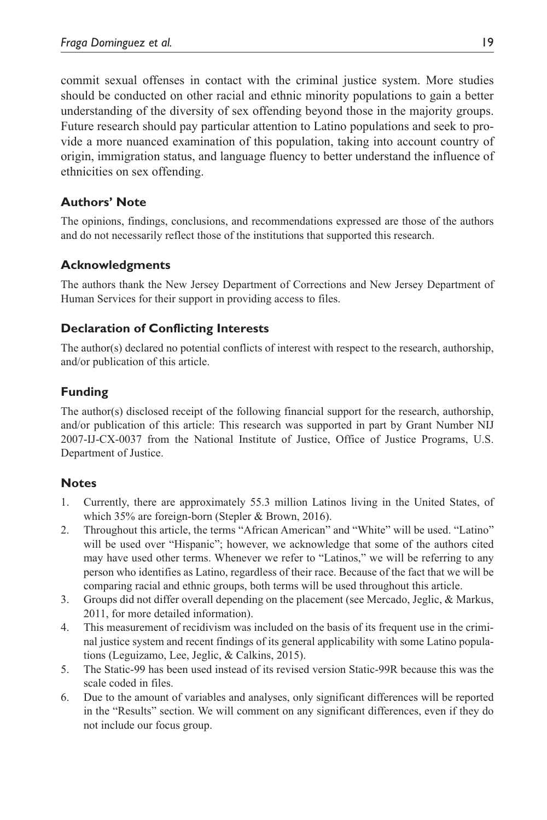commit sexual offenses in contact with the criminal justice system. More studies should be conducted on other racial and ethnic minority populations to gain a better understanding of the diversity of sex offending beyond those in the majority groups. Future research should pay particular attention to Latino populations and seek to provide a more nuanced examination of this population, taking into account country of origin, immigration status, and language fluency to better understand the influence of ethnicities on sex offending.

## **Authors' Note**

The opinions, findings, conclusions, and recommendations expressed are those of the authors and do not necessarily reflect those of the institutions that supported this research.

## **Acknowledgments**

The authors thank the New Jersey Department of Corrections and New Jersey Department of Human Services for their support in providing access to files.

## **Declaration of Conflicting Interests**

The author(s) declared no potential conflicts of interest with respect to the research, authorship, and/or publication of this article.

## **Funding**

The author(s) disclosed receipt of the following financial support for the research, authorship, and/or publication of this article: This research was supported in part by Grant Number NIJ 2007-IJ-CX-0037 from the National Institute of Justice, Office of Justice Programs, U.S. Department of Justice.

#### **Notes**

- 1. Currently, there are approximately 55.3 million Latinos living in the United States, of which 35% are foreign-born (Stepler & Brown, 2016).
- 2. Throughout this article, the terms "African American" and "White" will be used. "Latino" will be used over "Hispanic"; however, we acknowledge that some of the authors cited may have used other terms. Whenever we refer to "Latinos," we will be referring to any person who identifies as Latino, regardless of their race. Because of the fact that we will be comparing racial and ethnic groups, both terms will be used throughout this article.
- 3. Groups did not differ overall depending on the placement (see Mercado, Jeglic, & Markus, 2011, for more detailed information).
- 4. This measurement of recidivism was included on the basis of its frequent use in the criminal justice system and recent findings of its general applicability with some Latino populations (Leguizamo, Lee, Jeglic, & Calkins, 2015).
- 5. The Static-99 has been used instead of its revised version Static-99R because this was the scale coded in files.
- 6. Due to the amount of variables and analyses, only significant differences will be reported in the "Results" section. We will comment on any significant differences, even if they do not include our focus group.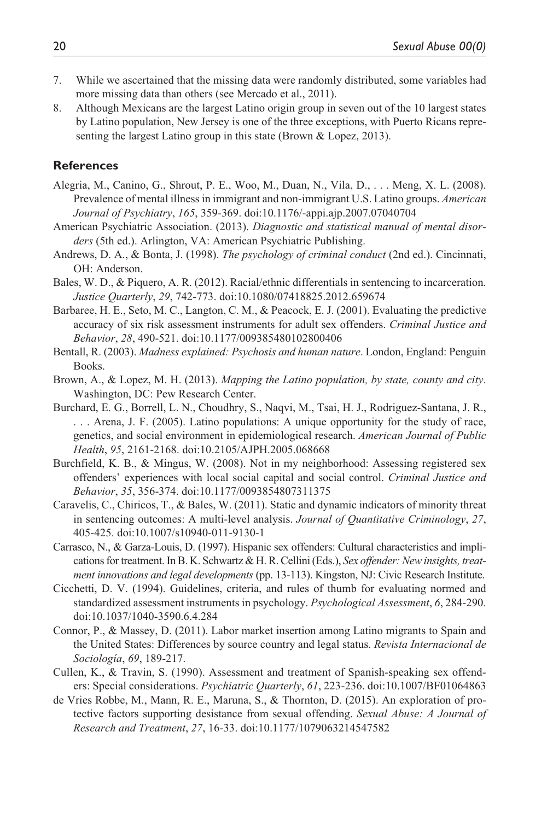- 7. While we ascertained that the missing data were randomly distributed, some variables had more missing data than others (see Mercado et al., 2011).
- 8. Although Mexicans are the largest Latino origin group in seven out of the 10 largest states by Latino population, New Jersey is one of the three exceptions, with Puerto Ricans representing the largest Latino group in this state (Brown & Lopez, 2013).

#### **References**

- Alegria, M., Canino, G., Shrout, P. E., Woo, M., Duan, N., Vila, D., . . . Meng, X. L. (2008). Prevalence of mental illness in immigrant and non-immigrant U.S. Latino groups. *American Journal of Psychiatry*, *165*, 359-369. doi:10.1176/-appi.ajp.2007.07040704
- American Psychiatric Association. (2013). *Diagnostic and statistical manual of mental disorders* (5th ed.). Arlington, VA: American Psychiatric Publishing.
- Andrews, D. A., & Bonta, J. (1998). *The psychology of criminal conduct* (2nd ed.). Cincinnati, OH: Anderson.
- Bales, W. D., & Piquero, A. R. (2012). Racial/ethnic differentials in sentencing to incarceration. *Justice Quarterly*, *29*, 742-773. doi:10.1080/07418825.2012.659674
- Barbaree, H. E., Seto, M. C., Langton, C. M., & Peacock, E. J. (2001). Evaluating the predictive accuracy of six risk assessment instruments for adult sex offenders. *Criminal Justice and Behavior*, *28*, 490-521. doi:10.1177/009385480102800406
- Bentall, R. (2003). *Madness explained: Psychosis and human nature*. London, England: Penguin Books.
- Brown, A., & Lopez, M. H. (2013). *Mapping the Latino population, by state, county and city*. Washington, DC: Pew Research Center.
- Burchard, E. G., Borrell, L. N., Choudhry, S., Naqvi, M., Tsai, H. J., Rodriguez-Santana, J. R., . . . Arena, J. F. (2005). Latino populations: A unique opportunity for the study of race, genetics, and social environment in epidemiological research. *American Journal of Public Health*, *95*, 2161-2168. doi:10.2105/AJPH.2005.068668
- Burchfield, K. B., & Mingus, W. (2008). Not in my neighborhood: Assessing registered sex offenders' experiences with local social capital and social control. *Criminal Justice and Behavior*, *35*, 356-374. doi:10.1177/0093854807311375
- Caravelis, C., Chiricos, T., & Bales, W. (2011). Static and dynamic indicators of minority threat in sentencing outcomes: A multi-level analysis. *Journal of Quantitative Criminology*, *27*, 405-425. doi:10.1007/s10940-011-9130-1
- Carrasco, N., & Garza-Louis, D. (1997). Hispanic sex offenders: Cultural characteristics and implications for treatment. In B. K. Schwartz & H. R. Cellini (Eds.), *Sex offender: New insights, treatment innovations and legal developments* (pp. 13-113). Kingston, NJ: Civic Research Institute.
- Cicchetti, D. V. (1994). Guidelines, criteria, and rules of thumb for evaluating normed and standardized assessment instruments in psychology. *Psychological Assessment*, *6*, 284-290. doi:10.1037/1040-3590.6.4.284
- Connor, P., & Massey, D. (2011). Labor market insertion among Latino migrants to Spain and the United States: Differences by source country and legal status. *Revista Internacional de Sociología*, *69*, 189-217.
- Cullen, K., & Travin, S. (1990). Assessment and treatment of Spanish-speaking sex offenders: Special considerations. *Psychiatric Quarterly*, *61*, 223-236. doi:10.1007/BF01064863
- de Vries Robbe, M., Mann, R. E., Maruna, S., & Thornton, D. (2015). An exploration of protective factors supporting desistance from sexual offending. *Sexual Abuse: A Journal of Research and Treatment*, *27*, 16-33. doi:10.1177/1079063214547582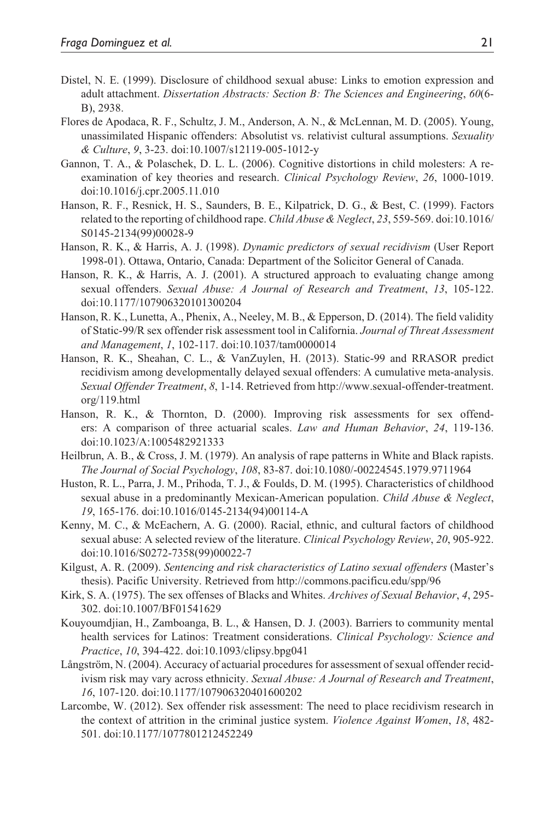- Distel, N. E. (1999). Disclosure of childhood sexual abuse: Links to emotion expression and adult attachment. *Dissertation Abstracts: Section B: The Sciences and Engineering*, *60*(6- B), 2938.
- Flores de Apodaca, R. F., Schultz, J. M., Anderson, A. N., & McLennan, M. D. (2005). Young, unassimilated Hispanic offenders: Absolutist vs. relativist cultural assumptions. *Sexuality & Culture*, *9*, 3-23. doi:10.1007/s12119-005-1012-y
- Gannon, T. A., & Polaschek, D. L. L. (2006). Cognitive distortions in child molesters: A reexamination of key theories and research. *Clinical Psychology Review*, *26*, 1000-1019. doi:10.1016/j.cpr.2005.11.010
- Hanson, R. F., Resnick, H. S., Saunders, B. E., Kilpatrick, D. G., & Best, C. (1999). Factors related to the reporting of childhood rape. *Child Abuse & Neglect*, *23*, 559-569. doi:10.1016/ S0145-2134(99)00028-9
- Hanson, R. K., & Harris, A. J. (1998). *Dynamic predictors of sexual recidivism* (User Report 1998-01). Ottawa, Ontario, Canada: Department of the Solicitor General of Canada.
- Hanson, R. K., & Harris, A. J. (2001). A structured approach to evaluating change among sexual offenders. *Sexual Abuse: A Journal of Research and Treatment*, *13*, 105-122. doi:10.1177/107906320101300204
- Hanson, R. K., Lunetta, A., Phenix, A., Neeley, M. B., & Epperson, D. (2014). The field validity of Static-99/R sex offender risk assessment tool in California. *Journal of Threat Assessment and Management*, *1*, 102-117. doi:10.1037/tam0000014
- Hanson, R. K., Sheahan, C. L., & VanZuylen, H. (2013). Static-99 and RRASOR predict recidivism among developmentally delayed sexual offenders: A cumulative meta-analysis. *Sexual Offender Treatment*, *8*, 1-14. Retrieved from [http://www.sexual-offender-treatment.](http://www.sexual-offender-treatment.org/119.html) [org/119.html](http://www.sexual-offender-treatment.org/119.html)
- Hanson, R. K., & Thornton, D. (2000). Improving risk assessments for sex offenders: A comparison of three actuarial scales. *Law and Human Behavior*, *24*, 119-136. doi:10.1023/A:1005482921333
- Heilbrun, A. B., & Cross, J. M. (1979). An analysis of rape patterns in White and Black rapists. *The Journal of Social Psychology*, *108*, 83-87. doi:10.1080/-00224545.1979.9711964
- Huston, R. L., Parra, J. M., Prihoda, T. J., & Foulds, D. M. (1995). Characteristics of childhood sexual abuse in a predominantly Mexican-American population. *Child Abuse & Neglect*, *19*, 165-176. doi:10.1016/0145-2134(94)00114-A
- Kenny, M. C., & McEachern, A. G. (2000). Racial, ethnic, and cultural factors of childhood sexual abuse: A selected review of the literature. *Clinical Psychology Review*, *20*, 905-922. doi:10.1016/S0272-7358(99)00022-7
- Kilgust, A. R. (2009). *Sentencing and risk characteristics of Latino sexual offenders* (Master's thesis). Pacific University. Retrieved from <http://commons.pacificu.edu/spp/96>
- Kirk, S. A. (1975). The sex offenses of Blacks and Whites. *Archives of Sexual Behavior*, *4*, 295- 302. doi:10.1007/BF01541629
- Kouyoumdjian, H., Zamboanga, B. L., & Hansen, D. J. (2003). Barriers to community mental health services for Latinos: Treatment considerations. *Clinical Psychology: Science and Practice*, *10*, 394-422. doi:10.1093/clipsy.bpg041
- Långström, N. (2004). Accuracy of actuarial procedures for assessment of sexual offender recidivism risk may vary across ethnicity. *Sexual Abuse: A Journal of Research and Treatment*, *16*, 107-120. doi:10.1177/107906320401600202
- Larcombe, W. (2012). Sex offender risk assessment: The need to place recidivism research in the context of attrition in the criminal justice system. *Violence Against Women*, *18*, 482- 501. doi:10.1177/1077801212452249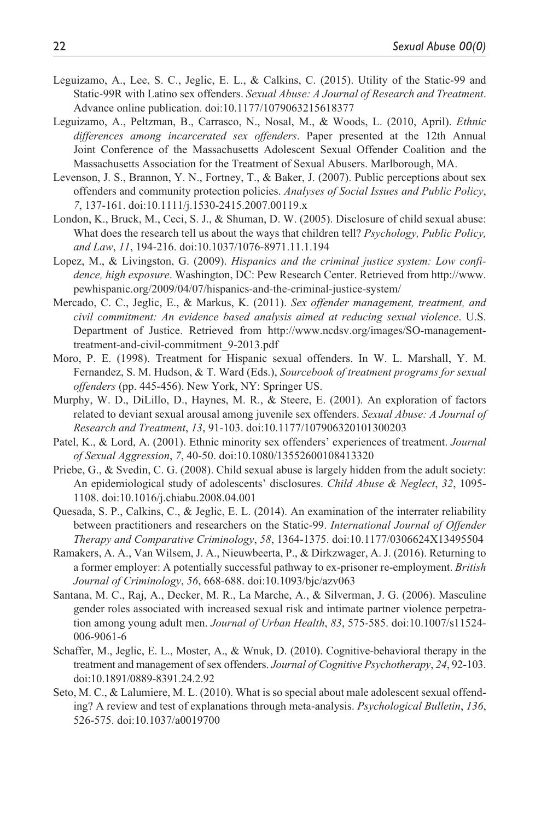- Leguizamo, A., Lee, S. C., Jeglic, E. L., & Calkins, C. (2015). Utility of the Static-99 and Static-99R with Latino sex offenders. *Sexual Abuse: A Journal of Research and Treatment*. Advance online publication. doi:10.1177/1079063215618377
- Leguizamo, A., Peltzman, B., Carrasco, N., Nosal, M., & Woods, L. (2010, April). *Ethnic differences among incarcerated sex offenders*. Paper presented at the 12th Annual Joint Conference of the Massachusetts Adolescent Sexual Offender Coalition and the Massachusetts Association for the Treatment of Sexual Abusers. Marlborough, MA.
- Levenson, J. S., Brannon, Y. N., Fortney, T., & Baker, J. (2007). Public perceptions about sex offenders and community protection policies. *Analyses of Social Issues and Public Policy*, *7*, 137-161. doi:10.1111/j.1530-2415.2007.00119.x
- London, K., Bruck, M., Ceci, S. J., & Shuman, D. W. (2005). Disclosure of child sexual abuse: What does the research tell us about the ways that children tell? *Psychology, Public Policy, and Law*, *11*, 194-216. doi:10.1037/1076-8971.11.1.194
- Lopez, M., & Livingston, G. (2009). *Hispanics and the criminal justice system: Low confidence, high exposure*. Washington, DC: Pew Research Center. Retrieved from [http://www.](http://www.pewhispanic.org/2009/04/07/hispanics-and-the-criminal-justice-system/) [pewhispanic.org/2009/04/07/hispanics-and-the-criminal-justice-system/](http://www.pewhispanic.org/2009/04/07/hispanics-and-the-criminal-justice-system/)
- Mercado, C. C., Jeglic, E., & Markus, K. (2011). *Sex offender management, treatment, and civil commitment: An evidence based analysis aimed at reducing sexual violence*. U.S. Department of Justice. Retrieved from [http://www.ncdsv.org/images/SO-management](http://www.ncdsv.org/images/SO-management-treatment-and-civil-commitment_9-2013.pdf)[treatment-and-civil-commitment\\_9-2013.pdf](http://www.ncdsv.org/images/SO-management-treatment-and-civil-commitment_9-2013.pdf)
- Moro, P. E. (1998). Treatment for Hispanic sexual offenders. In W. L. Marshall, Y. M. Fernandez, S. M. Hudson, & T. Ward (Eds.), *Sourcebook of treatment programs for sexual offenders* (pp. 445-456). New York, NY: Springer US.
- Murphy, W. D., DiLillo, D., Haynes, M. R., & Steere, E. (2001). An exploration of factors related to deviant sexual arousal among juvenile sex offenders. *Sexual Abuse: A Journal of Research and Treatment*, *13*, 91-103. doi:10.1177/107906320101300203
- Patel, K., & Lord, A. (2001). Ethnic minority sex offenders' experiences of treatment. *Journal of Sexual Aggression*, *7*, 40-50. doi:10.1080/13552600108413320
- Priebe, G., & Svedin, C. G. (2008). Child sexual abuse is largely hidden from the adult society: An epidemiological study of adolescents' disclosures. *Child Abuse & Neglect*, *32*, 1095- 1108. doi:10.1016/j.chiabu.2008.04.001
- Quesada, S. P., Calkins, C., & Jeglic, E. L. (2014). An examination of the interrater reliability between practitioners and researchers on the Static-99. *International Journal of Offender Therapy and Comparative Criminology*, *58*, 1364-1375. doi:10.1177/0306624X13495504
- Ramakers, A. A., Van Wilsem, J. A., Nieuwbeerta, P., & Dirkzwager, A. J. (2016). Returning to a former employer: A potentially successful pathway to ex-prisoner re-employment. *British Journal of Criminology*, *56*, 668-688. doi:10.1093/bjc/azv063
- Santana, M. C., Raj, A., Decker, M. R., La Marche, A., & Silverman, J. G. (2006). Masculine gender roles associated with increased sexual risk and intimate partner violence perpetration among young adult men. *Journal of Urban Health*, *83*, 575-585. doi:10.1007/s11524- 006-9061-6
- Schaffer, M., Jeglic, E. L., Moster, A., & Wnuk, D. (2010). Cognitive-behavioral therapy in the treatment and management of sex offenders. *Journal of Cognitive Psychotherapy*, *24*, 92-103. doi:10.1891/0889-8391.24.2.92
- Seto, M. C., & Lalumiere, M. L. (2010). What is so special about male adolescent sexual offending? A review and test of explanations through meta-analysis. *Psychological Bulletin*, *136*, 526-575. doi:10.1037/a0019700